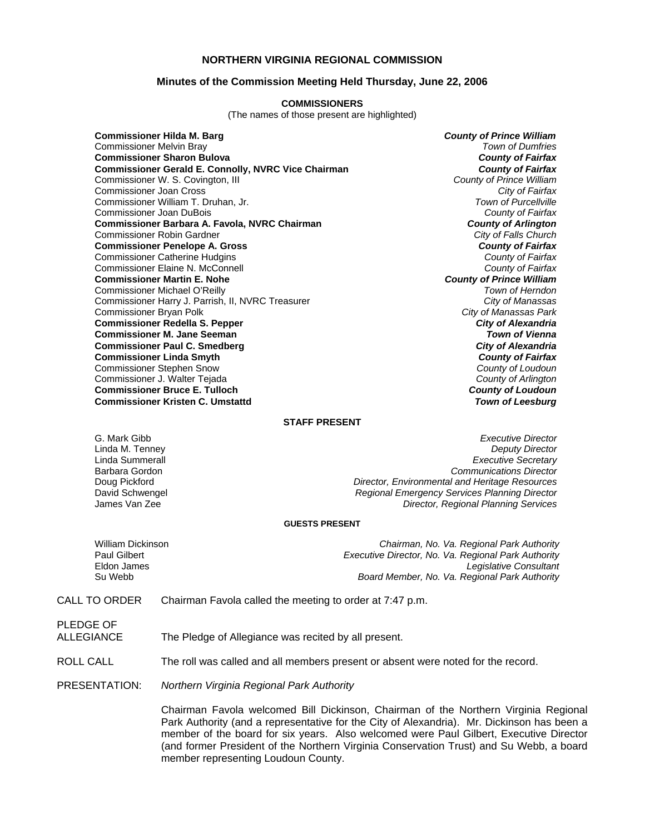### **NORTHERN VIRGINIA REGIONAL COMMISSION**

### **Minutes of the Commission Meeting Held Thursday, June 22, 2006**

#### **COMMISSIONERS**

(The names of those present are highlighted)

**Commissioner Hilda M. Barg** *County of Prince William* Commissioner Melvin Bray *Town of Dumfries* **Commissioner Sharon Bulova** *County of Fairfax* **Commissioner Gerald E. Connolly, NVRC Vice Chairman** *County of Fairfax**County of Fairfax***<br>Commissioner W. S. Covington, III <b>County of Prince William** Commissioner W. S. Covington, III *County of Prince William* Commissioner Joan Cross *City of Fairfax* Commissioner William T. Druhan, Jr. Commissioner Joan DuBois *County of Fairfax* **Commissioner Barbara A. Favola, NVRC Chairman** *County of Arlington* **County of Arlington Commissioner Robin Gardner** *Chairman**City of Falls Church* Commissioner Robin Gardner *City of Falls Church* **Commissioner Penelope A. Gross** *County of Fairfax* Commissioner Catherine Hudgins *County of Fairfax* Commissioner Elaine N. McConnell *County of Fairfax* **Commissioner Martin E. Nohe** *County of Prince William* Commissioner Michael O'Reilly *Town of Herndon* Commissioner Harry J. Parrish, II, NVRC Treasurer Commissioner Bryan Polk *City of Manassas Park* **Commissioner Redella S. Pepper** *City of Alexandria* **Commissioner M. Jane Seeman** *Town of Vienna* **Commissioner Paul C. Smedberg** *City of Alexandria* **Commissioner Linda Smyth** *County of Fairfax* Commissioner Stephen Snow *County of Loudoun* Commissioner J. Walter Tejada *County of Arlington* **Commissioner Bruce E. Tulloch** *County of Loudoun* **Commissioner Kristen C. Umstattd** *Town of Leesburg*

#### **STAFF PRESENT**

G. Mark Gibb *Executive Director* Linda M. Tenney *Deputy Director* **Executive Secretary** Barbara Gordon *Communications Director* Doug Pickford *Director, Environmental and Heritage Resources* David Schwengel *Regional Emergency Services Planning Director* **Director, Regional Planning Services** 

#### **GUESTS PRESENT**

| William Dickinson | Chairman, No. Va. Regional Park Authority           |
|-------------------|-----------------------------------------------------|
| Paul Gilbert      | Executive Director, No. Va. Regional Park Authority |
| Eldon James       | Legislative Consultant                              |
| Su Webb           | Board Member, No. Va. Regional Park Authority       |

CALL TO ORDER Chairman Favola called the meeting to order at 7:47 p.m.

PLEDGE OF

ALLEGIANCE The Pledge of Allegiance was recited by all present.

ROLL CALL The roll was called and all members present or absent were noted for the record.

PRESENTATION: *Northern Virginia Regional Park Authority*

 Chairman Favola welcomed Bill Dickinson, Chairman of the Northern Virginia Regional Park Authority (and a representative for the City of Alexandria). Mr. Dickinson has been a member of the board for six years. Also welcomed were Paul Gilbert, Executive Director (and former President of the Northern Virginia Conservation Trust) and Su Webb, a board member representing Loudoun County.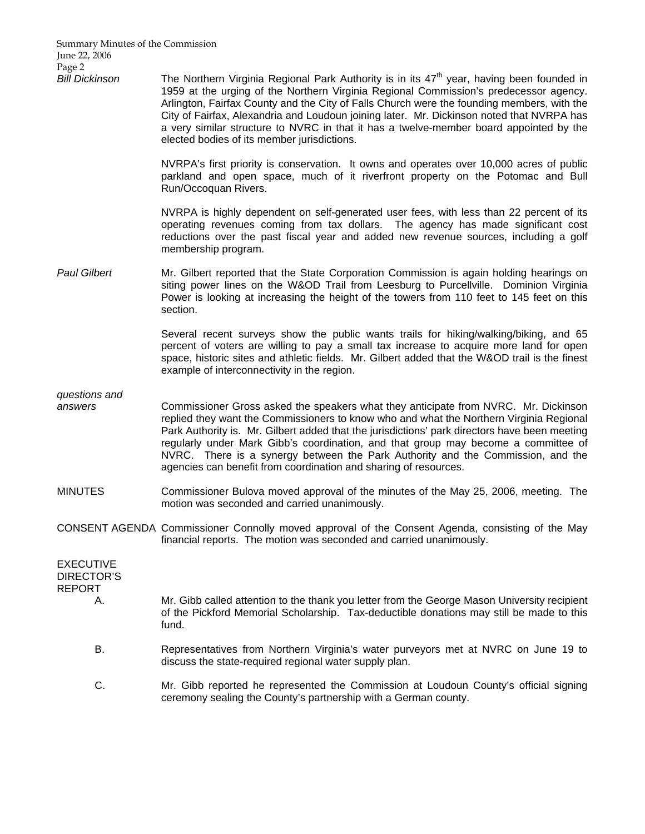Summary Minutes of the Commission June 22, 2006 Page 2

Bill Dickinson **The Northern Virginia Regional Park Authority** is in its 47<sup>th</sup> year, having been founded in 1959 at the urging of the Northern Virginia Regional Commission's predecessor agency. Arlington, Fairfax County and the City of Falls Church were the founding members, with the City of Fairfax, Alexandria and Loudoun joining later. Mr. Dickinson noted that NVRPA has a very similar structure to NVRC in that it has a twelve-member board appointed by the elected bodies of its member jurisdictions.

> NVRPA's first priority is conservation. It owns and operates over 10,000 acres of public parkland and open space, much of it riverfront property on the Potomac and Bull Run/Occoquan Rivers.

> NVRPA is highly dependent on self-generated user fees, with less than 22 percent of its operating revenues coming from tax dollars. The agency has made significant cost reductions over the past fiscal year and added new revenue sources, including a golf membership program.

Paul Gilbert **Mr.** Gilbert reported that the State Corporation Commission is again holding hearings on siting power lines on the W&OD Trail from Leesburg to Purcellville. Dominion Virginia Power is looking at increasing the height of the towers from 110 feet to 145 feet on this section.

> Several recent surveys show the public wants trails for hiking/walking/biking, and 65 percent of voters are willing to pay a small tax increase to acquire more land for open space, historic sites and athletic fields. Mr. Gilbert added that the W&OD trail is the finest example of interconnectivity in the region.

*questions and* 

- *answers* Commissioner Gross asked the speakers what they anticipate from NVRC. Mr. Dickinson replied they want the Commissioners to know who and what the Northern Virginia Regional Park Authority is. Mr. Gilbert added that the jurisdictions' park directors have been meeting regularly under Mark Gibb's coordination, and that group may become a committee of NVRC. There is a synergy between the Park Authority and the Commission, and the agencies can benefit from coordination and sharing of resources.
- MINUTES Commissioner Bulova moved approval of the minutes of the May 25, 2006, meeting. The motion was seconded and carried unanimously.
- CONSENT AGENDA Commissioner Connolly moved approval of the Consent Agenda, consisting of the May financial reports. The motion was seconded and carried unanimously.

| EXECUTIVE<br>DIRECTOR'S<br>REPORT |                                                                                                                                                                                                   |
|-----------------------------------|---------------------------------------------------------------------------------------------------------------------------------------------------------------------------------------------------|
| А.                                | Mr. Gibb called attention to the thank you letter from the George Mason University recipient<br>of the Pickford Memorial Scholarship. Tax-deductible donations may still be made to this<br>fund. |
| В.                                | Representatives from Northern Virginia's water purveyors met at NVRC on June 19 to<br>discuss the state-required regional water supply plan.                                                      |
| C.                                | Mr. Gibb reported he represented the Commission at Loudoun County's official signing<br>ceremony sealing the County's partnership with a German county.                                           |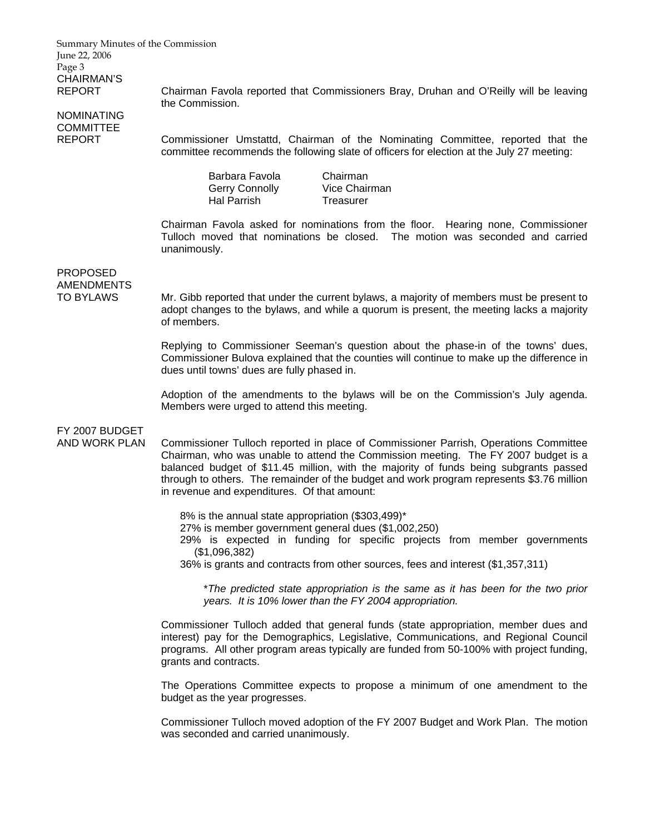Summary Minutes of the Commission June 22, 2006 Page 3 CHAIRMAN'S

NOMINATING COMMITTEE

REPORT Chairman Favola reported that Commissioners Bray, Druhan and O'Reilly will be leaving the Commission.

REPORT Commissioner Umstattd, Chairman of the Nominating Committee, reported that the committee recommends the following slate of officers for election at the July 27 meeting:

> Barbara Favola Chairman Gerry Connolly Vice Chairman Hal Parrish Treasurer

Chairman Favola asked for nominations from the floor. Hearing none, Commissioner Tulloch moved that nominations be closed. The motion was seconded and carried unanimously.

## PROPOSED AMENDMENTS

TO BYLAWS Mr. Gibb reported that under the current bylaws, a majority of members must be present to adopt changes to the bylaws, and while a quorum is present, the meeting lacks a majority of members.

> Replying to Commissioner Seeman's question about the phase-in of the towns' dues, Commissioner Bulova explained that the counties will continue to make up the difference in dues until towns' dues are fully phased in.

> Adoption of the amendments to the bylaws will be on the Commission's July agenda. Members were urged to attend this meeting.

# FY 2007 BUDGET

AND WORK PLAN Commissioner Tulloch reported in place of Commissioner Parrish, Operations Committee Chairman, who was unable to attend the Commission meeting. The FY 2007 budget is a balanced budget of \$11.45 million, with the majority of funds being subgrants passed through to others. The remainder of the budget and work program represents \$3.76 million in revenue and expenditures. Of that amount:

8% is the annual state appropriation (\$303,499)\*

27% is member government general dues (\$1,002,250)

29% is expected in funding for specific projects from member governments (\$1,096,382)

36% is grants and contracts from other sources, fees and interest (\$1,357,311)

\**The predicted state appropriation is the same as it has been for the two prior years. It is 10% lower than the FY 2004 appropriation.*

Commissioner Tulloch added that general funds (state appropriation, member dues and interest) pay for the Demographics, Legislative, Communications, and Regional Council programs. All other program areas typically are funded from 50-100% with project funding, grants and contracts.

The Operations Committee expects to propose a minimum of one amendment to the budget as the year progresses.

Commissioner Tulloch moved adoption of the FY 2007 Budget and Work Plan. The motion was seconded and carried unanimously.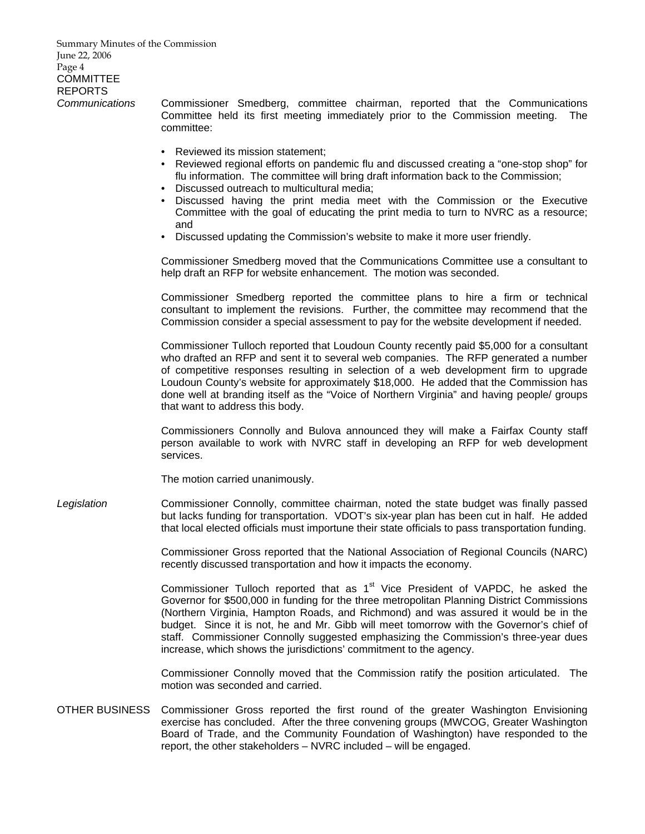Summary Minutes of the Commission June 22, 2006 Page 4 **COMMITTEE** REPORTS *Communications* Commissioner Smedberg, committee chairman, reported that the Communications Committee held its first meeting immediately prior to the Commission meeting. The committee: • Reviewed its mission statement; • Reviewed regional efforts on pandemic flu and discussed creating a "one-stop shop" for flu information. The committee will bring draft information back to the Commission; • Discussed outreach to multicultural media; • Discussed having the print media meet with the Commission or the Executive Committee with the goal of educating the print media to turn to NVRC as a resource; and • Discussed updating the Commission's website to make it more user friendly. Commissioner Smedberg moved that the Communications Committee use a consultant to help draft an RFP for website enhancement. The motion was seconded. Commissioner Smedberg reported the committee plans to hire a firm or technical consultant to implement the revisions. Further, the committee may recommend that the Commission consider a special assessment to pay for the website development if needed. Commissioner Tulloch reported that Loudoun County recently paid \$5,000 for a consultant who drafted an RFP and sent it to several web companies. The RFP generated a number of competitive responses resulting in selection of a web development firm to upgrade Loudoun County's website for approximately \$18,000. He added that the Commission has done well at branding itself as the "Voice of Northern Virginia" and having people/ groups that want to address this body. Commissioners Connolly and Bulova announced they will make a Fairfax County staff person available to work with NVRC staff in developing an RFP for web development services. The motion carried unanimously. *Legislation* Commissioner Connolly, committee chairman, noted the state budget was finally passed but lacks funding for transportation. VDOT's six-year plan has been cut in half. He added that local elected officials must importune their state officials to pass transportation funding. Commissioner Gross reported that the National Association of Regional Councils (NARC) recently discussed transportation and how it impacts the economy. Commissioner Tulloch reported that as  $1<sup>st</sup>$  Vice President of VAPDC, he asked the Governor for \$500,000 in funding for the three metropolitan Planning District Commissions (Northern Virginia, Hampton Roads, and Richmond) and was assured it would be in the budget. Since it is not, he and Mr. Gibb will meet tomorrow with the Governor's chief of staff. Commissioner Connolly suggested emphasizing the Commission's three-year dues increase, which shows the jurisdictions' commitment to the agency. Commissioner Connolly moved that the Commission ratify the position articulated. The motion was seconded and carried. OTHER BUSINESS Commissioner Gross reported the first round of the greater Washington Envisioning exercise has concluded. After the three convening groups (MWCOG, Greater Washington

Board of Trade, and the Community Foundation of Washington) have responded to the

report, the other stakeholders – NVRC included – will be engaged.